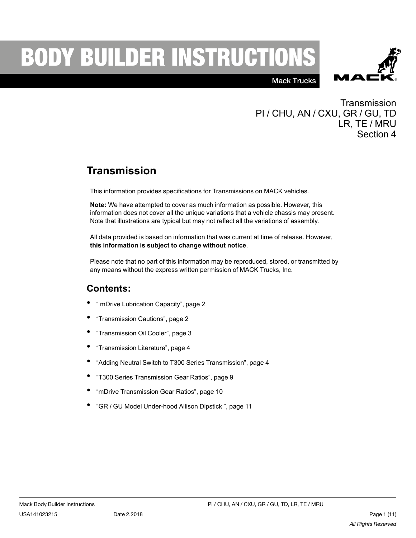# **BODY BUILDER INSTRUCTIONS**



Mack Trucks

**Transmission** PI / CHU, AN / CXU, GR / GU, TD LR, TE / MRU Section 4

# **Transmission**

This information provides specifications for Transmissions on MACK vehicles.

**Note:** We have attempted to cover as much information as possible. However, this information does not cover all the unique variations that a vehicle chassis may present. Note that illustrations are typical but may not reflect all the variations of assembly.

All data provided is based on information that was current at time of release. However, **this information is subject to change without notice**.

Please note that no part of this information may be reproduced, stored, or transmitted by any means without the express written permission of MACK Trucks, Inc.

#### **Contents:**

- " mDrive [Lubrication](#page-1-0) Capacity", page <sup>2</sup>
- ["Transmission](#page-1-1) Cautions", page <sup>2</sup>
- ["Transmission](#page-2-0) Oil Cooler", page <sup>3</sup>
- ["Transmission](#page-3-0) Literature", page <sup>4</sup>
- "Adding Neutral Switch to T300 Series [Transmission",](#page-3-1) page <sup>4</sup>
- "T300 Series [Transmission](#page-8-0) Gear Ratios", page <sup>9</sup>
- "mDrive [Transmission](#page-9-0) Gear Ratios", page <sup>10</sup>
- "GR / GU Model [Under-hood](#page-10-0) Allison Dipstick ", page <sup>11</sup>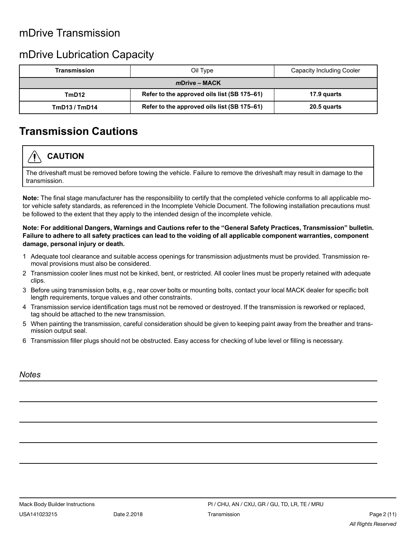#### mDrive Transmission

#### <span id="page-1-0"></span>mDrive Lubrication Capacity

| <b>Transmission</b> | Oil Type                                    | Capacity Including Cooler |  |  |  |  |  |
|---------------------|---------------------------------------------|---------------------------|--|--|--|--|--|
| $m$ Drive – MACK    |                                             |                           |  |  |  |  |  |
| TmD12               | Refer to the approved oils list (SB 175-61) | 17.9 quarts               |  |  |  |  |  |
| TmD13/TmD14         | Refer to the approved oils list (SB 175-61) | 20.5 quarts               |  |  |  |  |  |

#### <span id="page-1-1"></span>**Transmission Cautions**

## **CAUTION**

The driveshaft must be removed before towing the vehicle. Failure to remove the driveshaft may result in damage to the transmission.

**Note:** The final stage manufacturer has the responsibility to certify that the completed vehicle conforms to all applicable motor vehicle safety standards, as referenced in the Incomplete Vehicle Document. The following installation precautions must be followed to the extent that they apply to the intended design of the incomplete vehicle.

#### **Note: For additional Dangers, Warnings and Cautions refer to the "General Safety Practices, Transmission" bulletin.** Failure to adhere to all safety practices can lead to the voiding of all applicable component warranties, component **damage, personal injury or death.**

- 1 Adequate tool clearance and suitable access openings for transmission adjustments must be provided. Transmission removal provisions must also be considered.
- 2 Transmission cooler lines must not be kinked, bent, or restricted. All cooler lines must be properly retained with adequate clips.
- 3 Before using transmission bolts, e.g., rear cover bolts or mounting bolts, contact your local MACK dealer for specific bolt length requirements, torque values and other constraints.
- 4 Transmission service identification tags must not be removed or destroyed. If the transmission is reworked or replaced, tag should be attached to the new transmission.
- 5 When painting the transmission, careful consideration should be given to keeping paint away from the breather and transmission output seal.
- 6 Transmission filler plugs should not be obstructed. Easy access for checking of lube level or filling is necessary.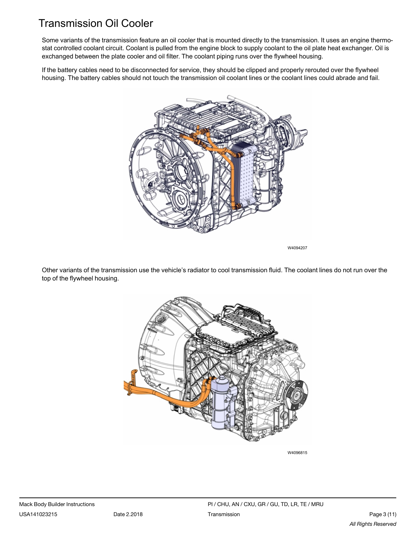# <span id="page-2-0"></span>Transmission Oil Cooler

Some variants of the transmission feature an oil cooler that is mounted directly to the transmission. It uses an engine thermostat controlled coolant circuit. Coolant is pulled from the engine block to supply coolant to the oil plate heat exchanger. Oil is exchanged between the plate cooler and oil filter. The coolant piping runs over the flywheel housing.

If the battery cables need to be disconnected for service, they should be clipped and properly rerouted over the flywheel housing. The battery cables should not touch the transmission oil coolant lines or the coolant lines could abrade and fail.



W4094207

Other variants of the transmission use the vehicle's radiator to cool transmission fluid. The coolant lines do not run over the top of the flywheel housing.



W4096815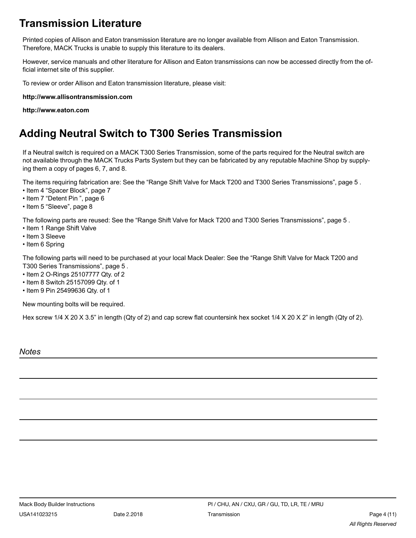# <span id="page-3-0"></span>**Transmission Literature**

Printed copies of Allison and Eaton transmission literature are no longer available from Allison and Eaton Transmission. Therefore, MACK Trucks is unable to supply this literature to its dealers.

However, service manuals and other literature for Allison and Eaton transmissions can now be accessed directly from the official internet site of this supplier.

To review or order Allison and Eaton transmission literature, please visit:

**http://www.allisontransmission.com**

**http://www.eaton.com**

## <span id="page-3-1"></span>**Adding Neutral Switch to T300 Series Transmission**

If a Neutral switch is required on a MACK T300 Series Transmission, some of the parts required for the Neutral switch are not available through the MACK Trucks Parts System but they can be fabricated by any reputable Machine Shop by supplying them a copy of pages 6, 7, and 8.

The items requiring fabrication are: See the "Range Shift Valve for Mack T200 and T300 Series [Transmissions",](#page-4-0) page 5 .

- Item 4 ["Spacer](#page-6-0) Block", page 7
- Item 7 ["Detent](#page-5-0) Pin ", page 6
- Item 5 ["Sleeve",](#page-7-0) page 8

The following parts are reused: See the "Range Shift Valve for Mack T200 and T300 Series [Transmissions",](#page-4-0) page 5 .

- Item 1 Range Shift Valve
- Item 3 Sleeve
- Item 6 Spring

The following parts will need to be purchased at your local Mack Dealer: See the ["Range](#page-4-0) Shift Valve for Mack T200 and T300 Series [Transmissions",](#page-4-0) page 5 .

- Item 2 O-Rings 25107777 Qty. of 2
- Item 8 Switch 25157099 Qty. of 1
- Item 9 Pin 25499636 Qty. of 1

New mounting bolts will be required.

Hex screw 1/4 X 20 X 3.5" in length (Qty of 2) and cap screw flat countersink hex socket 1/4 X 20 X 2" in length (Qty of 2).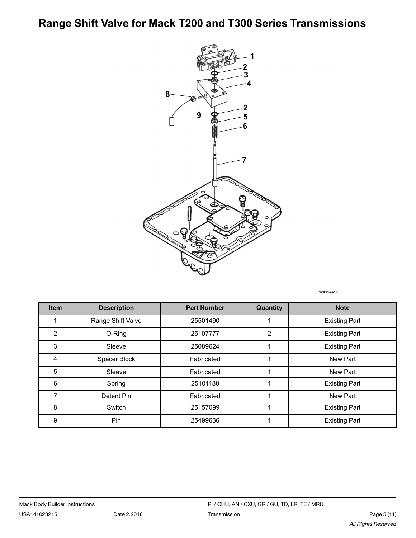<span id="page-4-0"></span>**Range Shift Valve for Mack T200 and T300 Series Transmissions**



W4114412

| <b>Item</b>    | <b>Description</b> | <b>Part Number</b> | Quantity | <b>Note</b>          |
|----------------|--------------------|--------------------|----------|----------------------|
|                | Range Shift Valve  | 25501490           |          | <b>Existing Part</b> |
| $\overline{2}$ | O-Ring             | 25107777           | 2        | <b>Existing Part</b> |
| 3              | Sleeve             | 25089624           |          | <b>Existing Part</b> |
| 4              | Spacer Block       | Fabricated         | 1        | New Part             |
| 5              | Sleeve             | Fabricated         |          | New Part             |
| 6              | Spring             | 25101188           |          | <b>Existing Part</b> |
| 7              | Detent Pin         | Fabricated         |          | New Part             |
| 8              | Switch             | 25157099           |          | <b>Existing Part</b> |
| 9              | Pin                | 25499636           | 4        | <b>Existing Part</b> |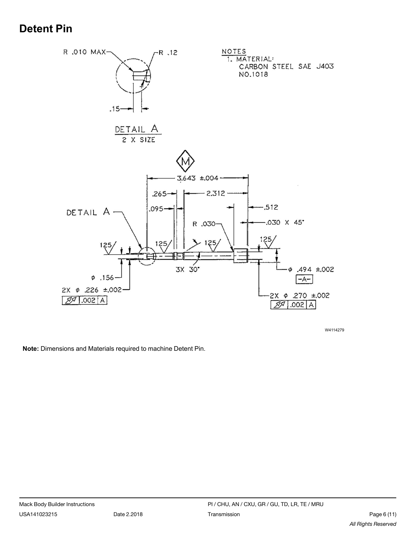# <span id="page-5-0"></span>**Detent Pin**



W4114279

**Note:** Dimensions and Materials required to machine Detent Pin.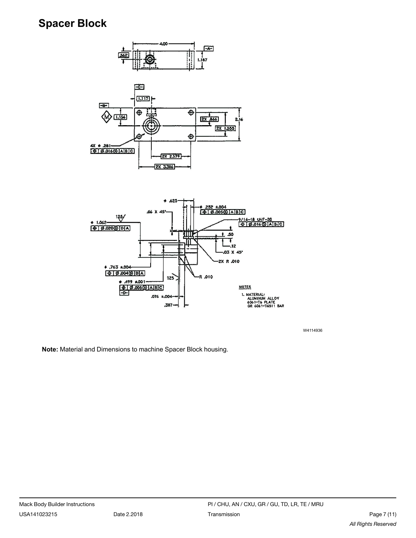#### <span id="page-6-0"></span>**Spacer Block**





W4114936

**Note:** Material and Dimensions to machine Spacer Block housing.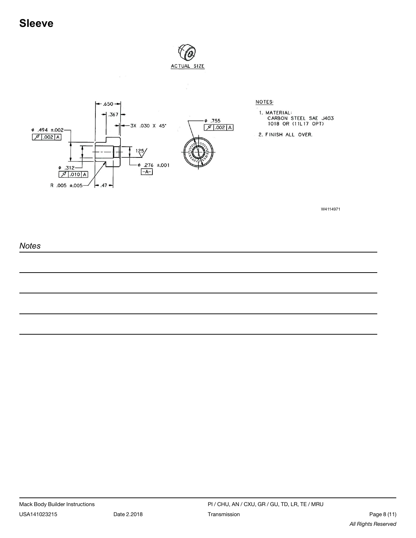<span id="page-7-0"></span>

**NOTES:** 

1. MATERIAL:<br>CARBON STEEL SAE J403<br>1018 OR (11L17 OPT)

2. FINISH ALL OVER.

W4114971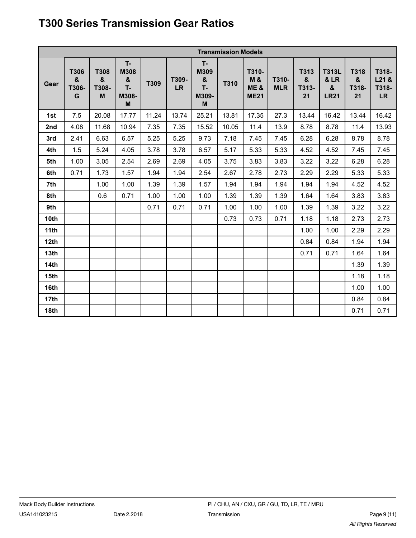# <span id="page-8-0"></span>**T300 Series Transmission Gear Ratios**

| <b>Transmission Models</b> |                                                    |                                |                                        |       |                    |                                             |       |                                                         |                     |                                              |                                                                             |                          |                                        |
|----------------------------|----------------------------------------------------|--------------------------------|----------------------------------------|-------|--------------------|---------------------------------------------|-------|---------------------------------------------------------|---------------------|----------------------------------------------|-----------------------------------------------------------------------------|--------------------------|----------------------------------------|
| Gear                       | <b>T306</b><br>$\boldsymbol{\alpha}$<br>T306-<br>G | <b>T308</b><br>&<br>T308-<br>M | T-<br>M308<br>&<br>$T -$<br>M308-<br>M | T309  | T309-<br><b>LR</b> | T-<br>M309<br>$\pmb{8}$<br>T-<br>M309-<br>M | T310  | T310-<br><b>M&amp;</b><br><b>ME&amp;</b><br><b>ME21</b> | T310-<br><b>MLR</b> | T313<br>$\boldsymbol{\alpha}$<br>T313-<br>21 | <b>T313L</b><br><b>&amp; LR</b><br>$\boldsymbol{\mathsf{g}}$<br><b>LR21</b> | T318<br>&<br>T318-<br>21 | T318-<br>$L21$ &<br>T318-<br><b>LR</b> |
| 1st                        | 7.5                                                | 20.08                          | 17.77                                  | 11.24 | 13.74              | 25.21                                       | 13.81 | 17.35                                                   | 27.3                | 13.44                                        | 16.42                                                                       | 13.44                    | 16.42                                  |
| 2nd                        | 4.08                                               | 11.68                          | 10.94                                  | 7.35  | 7.35               | 15.52                                       | 10.05 | 11.4                                                    | 13.9                | 8.78                                         | 8.78                                                                        | 11.4                     | 13.93                                  |
| 3rd                        | 2.41                                               | 6.63                           | 6.57                                   | 5.25  | 5.25               | 9.73                                        | 7.18  | 7.45                                                    | 7.45                | 6.28                                         | 6.28                                                                        | 8.78                     | 8.78                                   |
| 4th                        | 1.5                                                | 5.24                           | 4.05                                   | 3.78  | 3.78               | 6.57                                        | 5.17  | 5.33                                                    | 5.33                | 4.52                                         | 4.52                                                                        | 7.45                     | 7.45                                   |
| 5th                        | 1.00                                               | 3.05                           | 2.54                                   | 2.69  | 2.69               | 4.05                                        | 3.75  | 3.83                                                    | 3.83                | 3.22                                         | 3.22                                                                        | 6.28                     | 6.28                                   |
| 6th                        | 0.71                                               | 1.73                           | 1.57                                   | 1.94  | 1.94               | 2.54                                        | 2.67  | 2.78                                                    | 2.73                | 2.29                                         | 2.29                                                                        | 5.33                     | 5.33                                   |
| 7th                        |                                                    | 1.00                           | 1.00                                   | 1.39  | 1.39               | 1.57                                        | 1.94  | 1.94                                                    | 1.94                | 1.94                                         | 1.94                                                                        | 4.52                     | 4.52                                   |
| 8th                        |                                                    | 0.6                            | 0.71                                   | 1.00  | 1.00               | 1.00                                        | 1.39  | 1.39                                                    | 1.39                | 1.64                                         | 1.64                                                                        | 3.83                     | 3.83                                   |
| 9th                        |                                                    |                                |                                        | 0.71  | 0.71               | 0.71                                        | 1.00  | 1.00                                                    | 1.00                | 1.39                                         | 1.39                                                                        | 3.22                     | 3.22                                   |
| 10th                       |                                                    |                                |                                        |       |                    |                                             | 0.73  | 0.73                                                    | 0.71                | 1.18                                         | 1.18                                                                        | 2.73                     | 2.73                                   |
| 11th                       |                                                    |                                |                                        |       |                    |                                             |       |                                                         |                     | 1.00                                         | 1.00                                                                        | 2.29                     | 2.29                                   |
| 12th                       |                                                    |                                |                                        |       |                    |                                             |       |                                                         |                     | 0.84                                         | 0.84                                                                        | 1.94                     | 1.94                                   |
| 13 <sub>th</sub>           |                                                    |                                |                                        |       |                    |                                             |       |                                                         |                     | 0.71                                         | 0.71                                                                        | 1.64                     | 1.64                                   |
| 14th                       |                                                    |                                |                                        |       |                    |                                             |       |                                                         |                     |                                              |                                                                             | 1.39                     | 1.39                                   |
| 15th                       |                                                    |                                |                                        |       |                    |                                             |       |                                                         |                     |                                              |                                                                             | 1.18                     | 1.18                                   |
| 16th                       |                                                    |                                |                                        |       |                    |                                             |       |                                                         |                     |                                              |                                                                             | 1.00                     | 1.00                                   |
| 17th                       |                                                    |                                |                                        |       |                    |                                             |       |                                                         |                     |                                              |                                                                             | 0.84                     | 0.84                                   |
| 18th                       |                                                    |                                |                                        |       |                    |                                             |       |                                                         |                     |                                              |                                                                             | 0.71                     | 0.71                                   |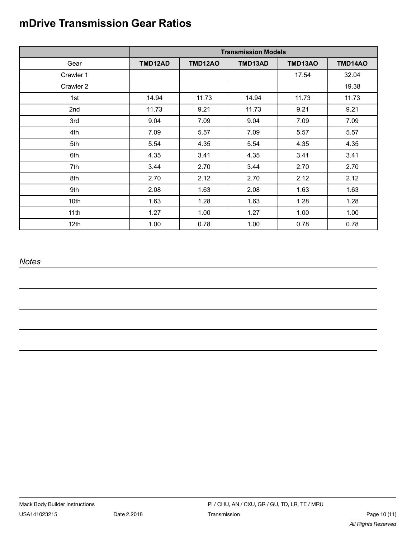# <span id="page-9-0"></span>**mDrive Transmission Gear Ratios**

|           | <b>Transmission Models</b> |                |         |         |         |  |  |
|-----------|----------------------------|----------------|---------|---------|---------|--|--|
| Gear      | TMD12AD                    | <b>TMD12AO</b> | TMD13AD | TMD13AO | TMD14AO |  |  |
| Crawler 1 |                            |                |         | 17.54   | 32.04   |  |  |
| Crawler 2 |                            |                |         |         | 19.38   |  |  |
| 1st       | 14.94                      | 11.73          | 14.94   | 11.73   | 11.73   |  |  |
| 2nd       | 11.73                      | 9.21           | 11.73   | 9.21    | 9.21    |  |  |
| 3rd       | 9.04                       | 7.09           | 9.04    | 7.09    | 7.09    |  |  |
| 4th       | 7.09                       | 5.57           | 7.09    | 5.57    | 5.57    |  |  |
| 5th       | 5.54                       | 4.35           | 5.54    | 4.35    | 4.35    |  |  |
| 6th       | 4.35                       | 3.41           | 4.35    | 3.41    | 3.41    |  |  |
| 7th       | 3.44                       | 2.70           | 3.44    | 2.70    | 2.70    |  |  |
| 8th       | 2.70                       | 2.12           | 2.70    | 2.12    | 2.12    |  |  |
| 9th       | 2.08                       | 1.63           | 2.08    | 1.63    | 1.63    |  |  |
| 10th      | 1.63                       | 1.28           | 1.63    | 1.28    | 1.28    |  |  |
| 11th      | 1.27                       | 1.00           | 1.27    | 1.00    | 1.00    |  |  |
| 12th      | 1.00                       | 0.78           | 1.00    | 0.78    | 0.78    |  |  |